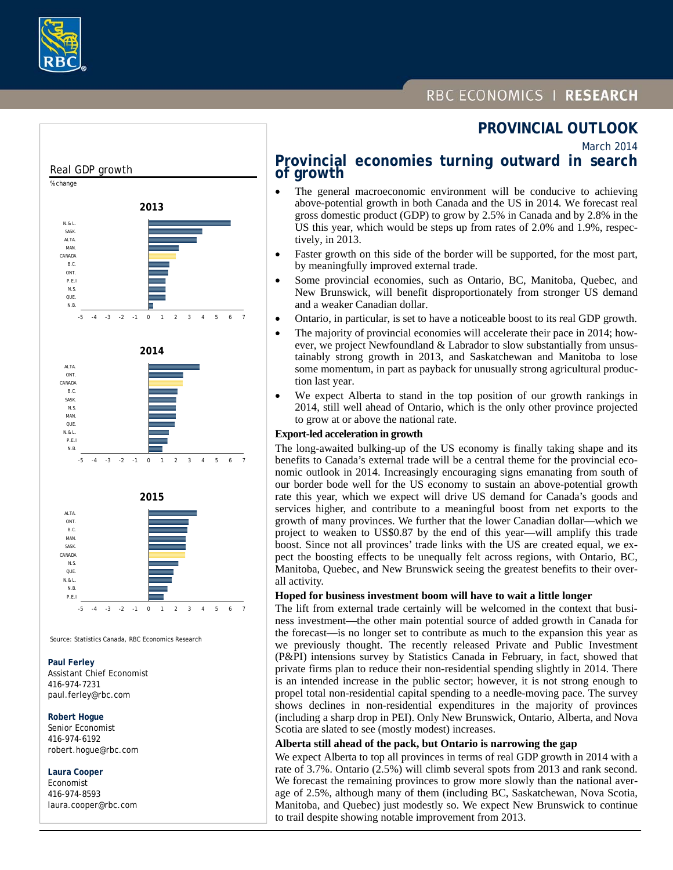

# RBC ECONOMICS | RESEARCH

# **PROVINCIAL OUTLOOK**

March 2014

#### -5 -4 -3 -2 -1 0 1 2 3 4 5 6 7 N.B. QUE. N.S. P.E.I ONT. B.C. CANADA MAN. ALTA. SASK. N.& L. **2013** -5 -4 -3 -2 -1 0 1 2 3 4 5 6 7 N.B. P.E.I N.& L. **QUE** MAN. N.S. SASK. B.C. CANADA **ONT** ALTA. **2014** Real GDP growth % change -5 -4 -3 -2 -1 0 1 2 3 4 5 6 7 P.E.I N.B. N.& L. **QUE** N.S. CANADA SASK. MAN. B.C. **ONT ALTA 2015**

Source: Statistics Canada, RBC Economics Research

#### **Paul Ferley**

 Assistant Chief Economist 416-974-7231 paul.ferley@rbc.com

#### **Robert Hogue**

 Senior Economist 416-974-6192 robert.hogue@rbc.com

### **Laura Cooper**

 Economist 416-974-8593 laura.cooper@rbc.com

## **Provincial economies turning outward in search of growth**

- The general macroeconomic environment will be conducive to achieving above-potential growth in both Canada and the US in 2014. We forecast real gross domestic product (GDP) to grow by 2.5% in Canada and by 2.8% in the US this year, which would be steps up from rates of 2.0% and 1.9%, respectively, in 2013.
- Faster growth on this side of the border will be supported, for the most part, by meaningfully improved external trade.
- Some provincial economies, such as Ontario, BC, Manitoba, Quebec, and New Brunswick, will benefit disproportionately from stronger US demand and a weaker Canadian dollar.
- Ontario, in particular, is set to have a noticeable boost to its real GDP growth.
- The majority of provincial economies will accelerate their pace in 2014; however, we project Newfoundland & Labrador to slow substantially from unsustainably strong growth in 2013, and Saskatchewan and Manitoba to lose some momentum, in part as payback for unusually strong agricultural production last year.
- We expect Alberta to stand in the top position of our growth rankings in 2014, still well ahead of Ontario, which is the only other province projected to grow at or above the national rate.

#### **Export-led acceleration in growth**

The long-awaited bulking-up of the US economy is finally taking shape and its benefits to Canada's external trade will be a central theme for the provincial economic outlook in 2014. Increasingly encouraging signs emanating from south of our border bode well for the US economy to sustain an above-potential growth rate this year, which we expect will drive US demand for Canada's goods and services higher, and contribute to a meaningful boost from net exports to the growth of many provinces. We further that the lower Canadian dollar—which we project to weaken to US\$0.87 by the end of this year—will amplify this trade boost. Since not all provinces' trade links with the US are created equal, we expect the boosting effects to be unequally felt across regions, with Ontario, BC, Manitoba, Quebec, and New Brunswick seeing the greatest benefits to their overall activity.

#### **Hoped for business investment boom will have to wait a little longer**

The lift from external trade certainly will be welcomed in the context that business investment—the other main potential source of added growth in Canada for the forecast—is no longer set to contribute as much to the expansion this year as we previously thought. The recently released Private and Public Investment (P&PI) intensions survey by Statistics Canada in February, in fact, showed that private firms plan to reduce their non-residential spending slightly in 2014. There is an intended increase in the public sector; however, it is not strong enough to propel total non-residential capital spending to a needle-moving pace. The survey shows declines in non-residential expenditures in the majority of provinces (including a sharp drop in PEI). Only New Brunswick, Ontario, Alberta, and Nova Scotia are slated to see (mostly modest) increases.

### **Alberta still ahead of the pack, but Ontario is narrowing the gap**

We expect Alberta to top all provinces in terms of real GDP growth in 2014 with a rate of 3.7%. Ontario (2.5%) will climb several spots from 2013 and rank second. We forecast the remaining provinces to grow more slowly than the national average of 2.5%, although many of them (including BC, Saskatchewan, Nova Scotia, Manitoba, and Quebec) just modestly so. We expect New Brunswick to continue to trail despite showing notable improvement from 2013.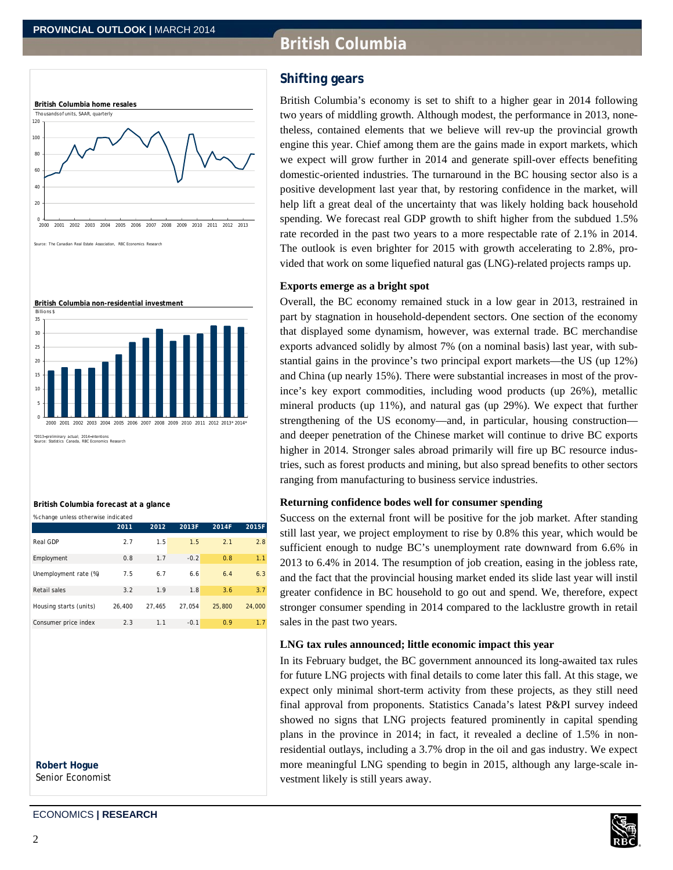# **British Columbia**





**British Columbia forecast at a glance**

| % change unless otherwise indicated |        |        |        |        |        |
|-------------------------------------|--------|--------|--------|--------|--------|
|                                     | 2011   | 2012   | 2013F  | 2014F  | 2015F  |
| Real GDP                            | 2.7    | 1.5    | 1.5    | 2.1    | 2.8    |
| Employment                          | 0.8    | 1.7    | $-0.2$ | 0.8    | 1.1    |
| Unemployment rate (%)               | 7.5    | 6.7    | 6.6    | 6.4    | 6.3    |
| Retail sales                        | 3.2    | 1.9    | 1.8    | 3.6    | 3.7    |
| Housing starts (units)              | 26.400 | 27.465 | 27.054 | 25,800 | 24,000 |
| Consumer price index                | 2.3    | 1.1    | $-0.1$ | 0.9    | 1.7    |

 **Robert Hogue**  Senior Economist **Shifting gears** 

British Columbia's economy is set to shift to a higher gear in 2014 following two years of middling growth. Although modest, the performance in 2013, nonetheless, contained elements that we believe will rev-up the provincial growth engine this year. Chief among them are the gains made in export markets, which we expect will grow further in 2014 and generate spill-over effects benefiting domestic-oriented industries. The turnaround in the BC housing sector also is a positive development last year that, by restoring confidence in the market, will help lift a great deal of the uncertainty that was likely holding back household spending. We forecast real GDP growth to shift higher from the subdued 1.5% rate recorded in the past two years to a more respectable rate of 2.1% in 2014. The outlook is even brighter for 2015 with growth accelerating to 2.8%, provided that work on some liquefied natural gas (LNG)-related projects ramps up.

### **Exports emerge as a bright spot**

Overall, the BC economy remained stuck in a low gear in 2013, restrained in part by stagnation in household-dependent sectors. One section of the economy that displayed some dynamism, however, was external trade. BC merchandise exports advanced solidly by almost 7% (on a nominal basis) last year, with substantial gains in the province's two principal export markets—the US (up 12%) and China (up nearly 15%). There were substantial increases in most of the province's key export commodities, including wood products (up 26%), metallic mineral products (up 11%), and natural gas (up 29%). We expect that further strengthening of the US economy—and, in particular, housing construction and deeper penetration of the Chinese market will continue to drive BC exports higher in 2014. Stronger sales abroad primarily will fire up BC resource industries, such as forest products and mining, but also spread benefits to other sectors ranging from manufacturing to business service industries.

### **Returning confidence bodes well for consumer spending**

Success on the external front will be positive for the job market. After standing still last year, we project employment to rise by 0.8% this year, which would be sufficient enough to nudge BC's unemployment rate downward from 6.6% in 2013 to 6.4% in 2014. The resumption of job creation, easing in the jobless rate, and the fact that the provincial housing market ended its slide last year will instil greater confidence in BC household to go out and spend. We, therefore, expect stronger consumer spending in 2014 compared to the lacklustre growth in retail sales in the past two years.

### **LNG tax rules announced; little economic impact this year**

In its February budget, the BC government announced its long-awaited tax rules for future LNG projects with final details to come later this fall. At this stage, we expect only minimal short-term activity from these projects, as they still need final approval from proponents. Statistics Canada's latest P&PI survey indeed showed no signs that LNG projects featured prominently in capital spending plans in the province in 2014; in fact, it revealed a decline of 1.5% in nonresidential outlays, including a 3.7% drop in the oil and gas industry. We expect more meaningful LNG spending to begin in 2015, although any large-scale investment likely is still years away.

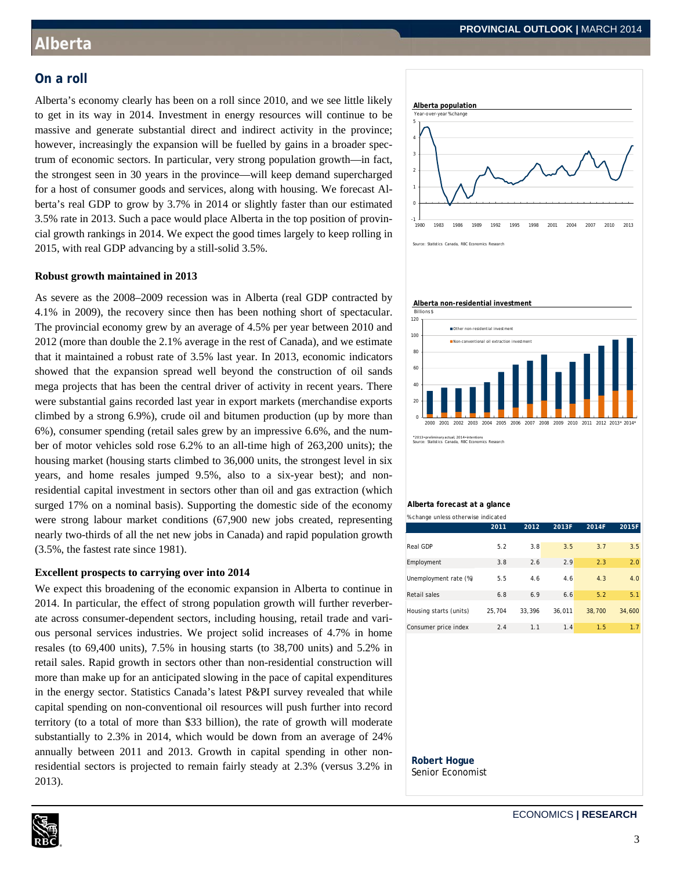### **On a roll**

Alberta's economy clearly has been on a roll since 2010, and we see little likely to get in its way in 2014. Investment in energy resources will continue to be massive and generate substantial direct and indirect activity in the province; however, increasingly the expansion will be fuelled by gains in a broader spectrum of economic sectors. In particular, very strong population growth—in fact, the strongest seen in 30 years in the province—will keep demand supercharged for a host of consumer goods and services, along with housing. We forecast Alberta's real GDP to grow by 3.7% in 2014 or slightly faster than our estimated 3.5% rate in 2013. Such a pace would place Alberta in the top position of provincial growth rankings in 2014. We expect the good times largely to keep rolling in 2015, with real GDP advancing by a still-solid 3.5%.



### **Robust growth maintained in 2013**

As severe as the 2008–2009 recession was in Alberta (real GDP contracted by 4.1% in 2009), the recovery since then has been nothing short of spectacular. The provincial economy grew by an average of 4.5% per year between 2010 and 2012 (more than double the 2.1% average in the rest of Canada), and we estimate that it maintained a robust rate of 3.5% last year. In 2013, economic indicators showed that the expansion spread well beyond the construction of oil sands mega projects that has been the central driver of activity in recent years. There were substantial gains recorded last year in export markets (merchandise exports climbed by a strong 6.9%), crude oil and bitumen production (up by more than 6%), consumer spending (retail sales grew by an impressive 6.6%, and the number of motor vehicles sold rose 6.2% to an all-time high of 263,200 units); the housing market (housing starts climbed to 36,000 units, the strongest level in six years, and home resales jumped 9.5%, also to a six-year best); and nonresidential capital investment in sectors other than oil and gas extraction (which surged 17% on a nominal basis). Supporting the domestic side of the economy were strong labour market conditions (67,900 new jobs created, representing nearly two-thirds of all the net new jobs in Canada) and rapid population growth (3.5%, the fastest rate since 1981).

#### **Excellent prospects to carrying over into 2014**

We expect this broadening of the economic expansion in Alberta to continue in 2014. In particular, the effect of strong population growth will further reverberate across consumer-dependent sectors, including housing, retail trade and various personal services industries. We project solid increases of 4.7% in home resales (to 69,400 units), 7.5% in housing starts (to 38,700 units) and 5.2% in retail sales. Rapid growth in sectors other than non-residential construction will more than make up for an anticipated slowing in the pace of capital expenditures in the energy sector. Statistics Canada's latest P&PI survey revealed that while capital spending on non-conventional oil resources will push further into record territory (to a total of more than \$33 billion), the rate of growth will moderate substantially to 2.3% in 2014, which would be down from an average of 24% annually between 2011 and 2013. Growth in capital spending in other nonresidential sectors is projected to remain fairly steady at 2.3% (versus 3.2% in 2013).



### **Alberta forecast at a glance**

| % change unless otherwise indicated |        |        |        |        |        |
|-------------------------------------|--------|--------|--------|--------|--------|
|                                     | 2011   | 2012   | 2013F  | 2014F  | 2015F  |
|                                     |        |        |        |        |        |
| <b>Real GDP</b>                     | 5.2    | 3.8    | 3.5    | 3.7    | 3.5    |
| Employment                          | 3.8    | 2.6    | 2.9    | 2.3    | 2.0    |
| Unemployment rate (%)               | 5.5    | 4.6    | 4.6    | 4.3    | 4.0    |
| <b>Retail sales</b>                 | 6.8    | 6.9    | 6.6    | 5.2    | 5.1    |
| Housing starts (units)              | 25.704 | 33.396 | 36.011 | 38,700 | 34,600 |
| Consumer price index                | 2.4    | 1.1    | 1.4    | 1.5    | 1.7    |

#### **Robert Hogue**  Senior Economist

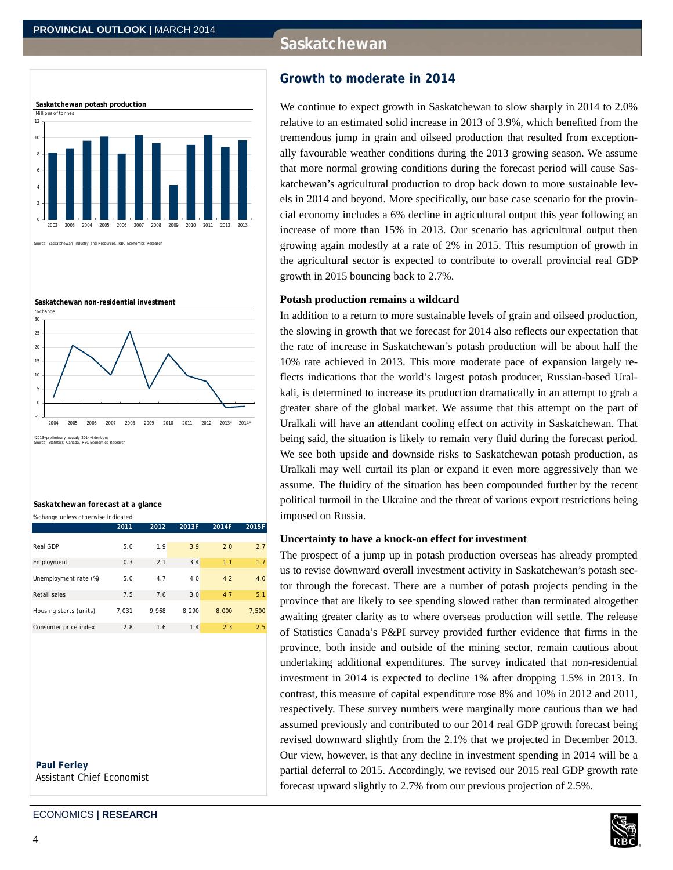# **Saskatchewan**



Saskatchewan Industry and Resources, RBC Economics Research



#### **Saskatchewan forecast at a glance**

|  | % change unless otherwise indicated |  |
|--|-------------------------------------|--|

|                        | 2011  | 2012  | 2013F | 2014F | 2015F |
|------------------------|-------|-------|-------|-------|-------|
|                        |       |       |       |       |       |
| Real GDP               | 5.0   | 1.9   | 3.9   | 2.0   | 2.7   |
| Employment             | 0.3   | 2.1   | 3.4   | 1.1   | 1.7   |
| Unemployment rate (%)  | 5.0   | 4.7   | 4.0   | 4.2   | 4.0   |
| Retail sales           | 7.5   | 7.6   | 3.0   | 4.7   | 5.1   |
| Housing starts (units) | 7,031 | 9.968 | 8.290 | 8.000 | 7,500 |
| Consumer price index   | 2.8   | 1.6   | 1.4   | 2.3   | 2.5   |

 **Paul Ferley**  Assistant Chief Economist

### ECONOMICS **| RESEARCH**

We continue to expect growth in Saskatchewan to slow sharply in 2014 to 2.0% relative to an estimated solid increase in 2013 of 3.9%, which benefited from the tremendous jump in grain and oilseed production that resulted from exceptionally favourable weather conditions during the 2013 growing season. We assume that more normal growing conditions during the forecast period will cause Saskatchewan's agricultural production to drop back down to more sustainable levels in 2014 and beyond. More specifically, our base case scenario for the provincial economy includes a 6% decline in agricultural output this year following an increase of more than 15% in 2013. Our scenario has agricultural output then growing again modestly at a rate of 2% in 2015. This resumption of growth in the agricultural sector is expected to contribute to overall provincial real GDP growth in 2015 bouncing back to 2.7%.

### **Potash production remains a wildcard**

In addition to a return to more sustainable levels of grain and oilseed production, the slowing in growth that we forecast for 2014 also reflects our expectation that the rate of increase in Saskatchewan's potash production will be about half the 10% rate achieved in 2013. This more moderate pace of expansion largely reflects indications that the world's largest potash producer, Russian-based Uralkali, is determined to increase its production dramatically in an attempt to grab a greater share of the global market. We assume that this attempt on the part of Uralkali will have an attendant cooling effect on activity in Saskatchewan. That being said, the situation is likely to remain very fluid during the forecast period. We see both upside and downside risks to Saskatchewan potash production, as Uralkali may well curtail its plan or expand it even more aggressively than we assume. The fluidity of the situation has been compounded further by the recent political turmoil in the Ukraine and the threat of various export restrictions being imposed on Russia.

#### **Uncertainty to have a knock-on effect for investment**

The prospect of a jump up in potash production overseas has already prompted us to revise downward overall investment activity in Saskatchewan's potash sector through the forecast. There are a number of potash projects pending in the province that are likely to see spending slowed rather than terminated altogether awaiting greater clarity as to where overseas production will settle. The release of Statistics Canada's P&PI survey provided further evidence that firms in the province, both inside and outside of the mining sector, remain cautious about undertaking additional expenditures. The survey indicated that non-residential investment in 2014 is expected to decline 1% after dropping 1.5% in 2013. In contrast, this measure of capital expenditure rose 8% and 10% in 2012 and 2011, respectively. These survey numbers were marginally more cautious than we had assumed previously and contributed to our 2014 real GDP growth forecast being revised downward slightly from the 2.1% that we projected in December 2013. Our view, however, is that any decline in investment spending in 2014 will be a partial deferral to 2015. Accordingly, we revised our 2015 real GDP growth rate forecast upward slightly to 2.7% from our previous projection of 2.5%.

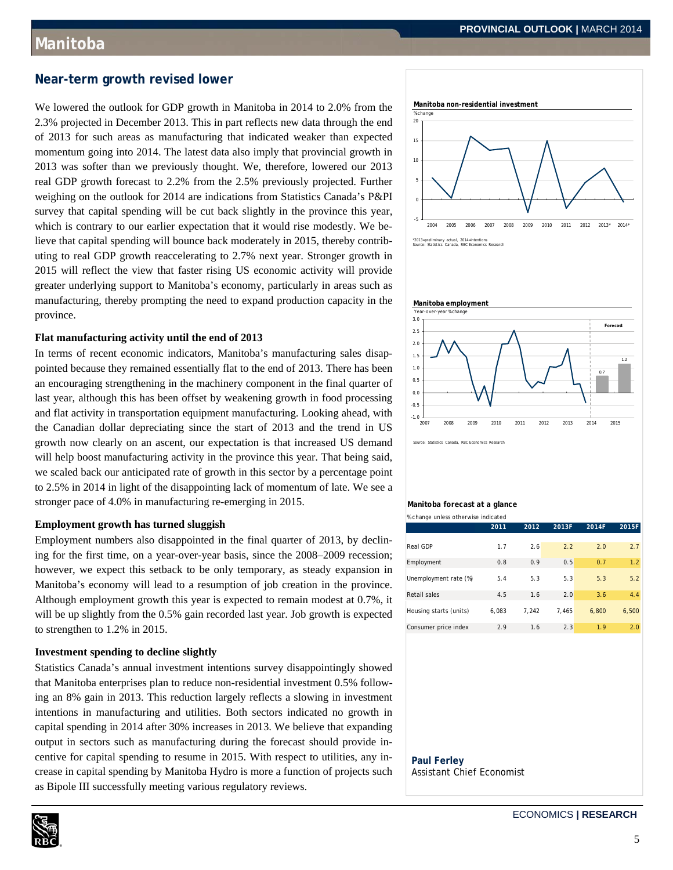### **Near-term growth revised lower**

We lowered the outlook for GDP growth in Manitoba in 2014 to 2.0% from the 2.3% projected in December 2013. This in part reflects new data through the end of 2013 for such areas as manufacturing that indicated weaker than expected momentum going into 2014. The latest data also imply that provincial growth in 2013 was softer than we previously thought. We, therefore, lowered our 2013 real GDP growth forecast to 2.2% from the 2.5% previously projected. Further weighing on the outlook for 2014 are indications from Statistics Canada's P&PI survey that capital spending will be cut back slightly in the province this year, which is contrary to our earlier expectation that it would rise modestly. We believe that capital spending will bounce back moderately in 2015, thereby contributing to real GDP growth reaccelerating to 2.7% next year. Stronger growth in 2015 will reflect the view that faster rising US economic activity will provide greater underlying support to Manitoba's economy, particularly in areas such as manufacturing, thereby prompting the need to expand production capacity in the province.

#### **Flat manufacturing activity until the end of 2013**

In terms of recent economic indicators, Manitoba's manufacturing sales disappointed because they remained essentially flat to the end of 2013. There has been an encouraging strengthening in the machinery component in the final quarter of last year, although this has been offset by weakening growth in food processing and flat activity in transportation equipment manufacturing. Looking ahead, with the Canadian dollar depreciating since the start of 2013 and the trend in US growth now clearly on an ascent, our expectation is that increased US demand will help boost manufacturing activity in the province this year. That being said, we scaled back our anticipated rate of growth in this sector by a percentage point to 2.5% in 2014 in light of the disappointing lack of momentum of late. We see a stronger pace of 4.0% in manufacturing re-emerging in 2015.

### **Employment growth has turned sluggish**

Employment numbers also disappointed in the final quarter of 2013, by declining for the first time, on a year-over-year basis, since the 2008–2009 recession; however, we expect this setback to be only temporary, as steady expansion in Manitoba's economy will lead to a resumption of job creation in the province. Although employment growth this year is expected to remain modest at 0.7%, it will be up slightly from the 0.5% gain recorded last year. Job growth is expected to strengthen to 1.2% in 2015.

### **Investment spending to decline slightly**

Statistics Canada's annual investment intentions survey disappointingly showed that Manitoba enterprises plan to reduce non-residential investment 0.5% following an 8% gain in 2013. This reduction largely reflects a slowing in investment intentions in manufacturing and utilities. Both sectors indicated no growth in capital spending in 2014 after 30% increases in 2013. We believe that expanding output in sectors such as manufacturing during the forecast should provide incentive for capital spending to resume in 2015. With respect to utilities, any increase in capital spending by Manitoba Hydro is more a function of projects such as Bipole III successfully meeting various regulatory reviews.







Source: Statistics Canada, RBC Economics Research

## **Manitoba forecast at a glance**

| % change unless otherwise indicated |       |       |       |       |       |
|-------------------------------------|-------|-------|-------|-------|-------|
|                                     | 2011  | 2012  | 2013F | 2014F | 2015F |
|                                     |       |       |       |       |       |
| Real GDP                            | 1.7   | 2.6   | 2.2   | 2.0   | 2.7   |
| Employment                          | 0.8   | 0.9   | 0.5   | 0.7   | 1.2   |
| Unemployment rate (%)               | 5.4   | 5.3   | 5.3   | 5.3   | 5.2   |
| <b>Retail sales</b>                 | 4.5   | 1.6   | 2.0   | 3.6   | 4.4   |
| Housing starts (units)              | 6.083 | 7.242 | 7.465 | 6.800 | 6.500 |
| Consumer price index                | 2.9   | 1.6   | 2.3   | 1.9   | 2.0   |

### **Paul Ferley**  Assistant Chief Economist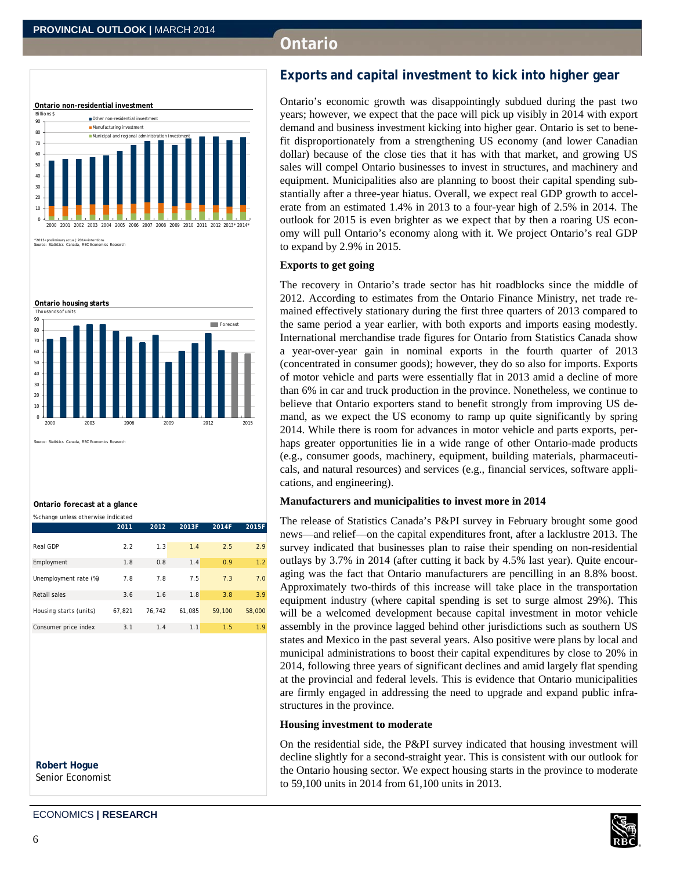# **Ontario**



\*2013=preliminary actual; 2014=intentions Source: Statistics Canada, RBC Economics Research



ce: Statistics Canada, RBC Economics Research

#### **Ontario forecast at a glance**

|  | % change unless otherwise indicated |  |
|--|-------------------------------------|--|
|  |                                     |  |

|                        | 2011   | 2012   | 2013F  | 2014F  | 2015F  |
|------------------------|--------|--------|--------|--------|--------|
|                        |        |        |        |        |        |
| Real GDP               | 2.2    | 1.3    | 1.4    | 2.5    | 2.9    |
| Employment             | 1.8    | 0.8    | 1.4    | 0.9    | 1.2    |
| Unemployment rate (%)  | 7.8    | 7.8    | 7.5    | 7.3    | 7.0    |
| Retail sales           | 3.6    | 1.6    | 1.8    | 3.8    | 3.9    |
| Housing starts (units) | 67.821 | 76,742 | 61,085 | 59,100 | 58,000 |
| Consumer price index   | 3.1    | 1.4    | 1.1    | 1.5    | 1.9    |

 **Robert Hogue**  Senior Economist

# **Exports and capital investment to kick into higher gear**

Ontario's economic growth was disappointingly subdued during the past two years; however, we expect that the pace will pick up visibly in 2014 with export demand and business investment kicking into higher gear. Ontario is set to benefit disproportionately from a strengthening US economy (and lower Canadian dollar) because of the close ties that it has with that market, and growing US sales will compel Ontario businesses to invest in structures, and machinery and equipment. Municipalities also are planning to boost their capital spending substantially after a three-year hiatus. Overall, we expect real GDP growth to accelerate from an estimated 1.4% in 2013 to a four-year high of 2.5% in 2014. The outlook for 2015 is even brighter as we expect that by then a roaring US economy will pull Ontario's economy along with it. We project Ontario's real GDP to expand by 2.9% in 2015.

### **Exports to get going**

The recovery in Ontario's trade sector has hit roadblocks since the middle of 2012. According to estimates from the Ontario Finance Ministry, net trade remained effectively stationary during the first three quarters of 2013 compared to the same period a year earlier, with both exports and imports easing modestly. International merchandise trade figures for Ontario from Statistics Canada show a year-over-year gain in nominal exports in the fourth quarter of 2013 (concentrated in consumer goods); however, they do so also for imports. Exports of motor vehicle and parts were essentially flat in 2013 amid a decline of more than 6% in car and truck production in the province. Nonetheless, we continue to believe that Ontario exporters stand to benefit strongly from improving US demand, as we expect the US economy to ramp up quite significantly by spring 2014. While there is room for advances in motor vehicle and parts exports, perhaps greater opportunities lie in a wide range of other Ontario-made products (e.g., consumer goods, machinery, equipment, building materials, pharmaceuticals, and natural resources) and services (e.g., financial services, software applications, and engineering).

#### **Manufacturers and municipalities to invest more in 2014**

The release of Statistics Canada's P&PI survey in February brought some good news—and relief—on the capital expenditures front, after a lacklustre 2013. The survey indicated that businesses plan to raise their spending on non-residential outlays by 3.7% in 2014 (after cutting it back by 4.5% last year). Quite encouraging was the fact that Ontario manufacturers are pencilling in an 8.8% boost. Approximately two-thirds of this increase will take place in the transportation equipment industry (where capital spending is set to surge almost 29%). This will be a welcomed development because capital investment in motor vehicle assembly in the province lagged behind other jurisdictions such as southern US states and Mexico in the past several years. Also positive were plans by local and municipal administrations to boost their capital expenditures by close to 20% in 2014, following three years of significant declines and amid largely flat spending at the provincial and federal levels. This is evidence that Ontario municipalities are firmly engaged in addressing the need to upgrade and expand public infrastructures in the province.

#### **Housing investment to moderate**

On the residential side, the P&PI survey indicated that housing investment will decline slightly for a second-straight year. This is consistent with our outlook for the Ontario housing sector. We expect housing starts in the province to moderate to 59,100 units in 2014 from 61,100 units in 2013.

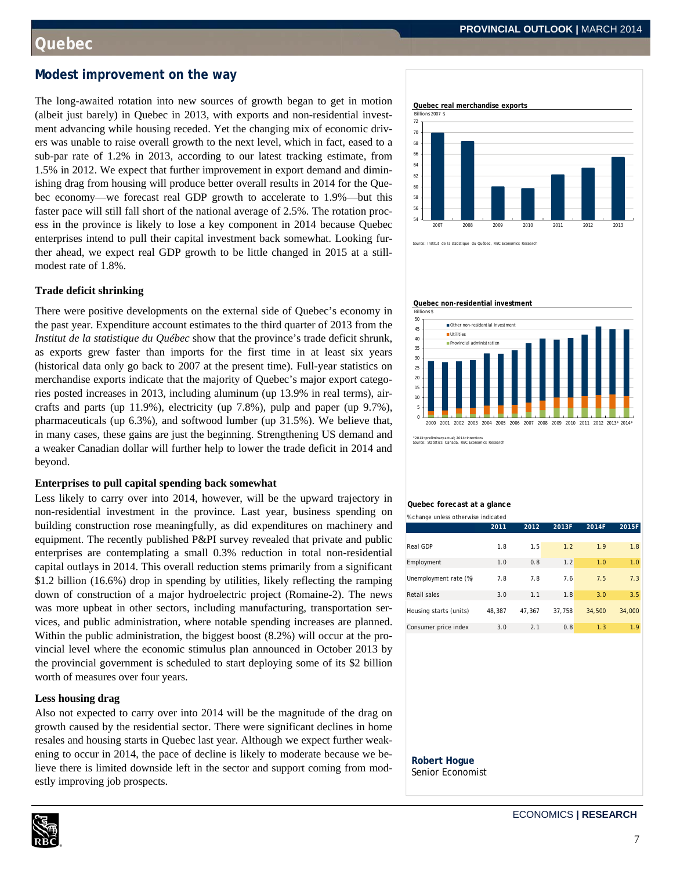### **Modest improvement on the way**

The long-awaited rotation into new sources of growth began to get in motion (albeit just barely) in Quebec in 2013, with exports and non-residential investment advancing while housing receded. Yet the changing mix of economic drivers was unable to raise overall growth to the next level, which in fact, eased to a sub-par rate of 1.2% in 2013, according to our latest tracking estimate, from 1.5% in 2012. We expect that further improvement in export demand and diminishing drag from housing will produce better overall results in 2014 for the Quebec economy—we forecast real GDP growth to accelerate to 1.9%—but this faster pace will still fall short of the national average of 2.5%. The rotation process in the province is likely to lose a key component in 2014 because Quebec enterprises intend to pull their capital investment back somewhat. Looking further ahead, we expect real GDP growth to be little changed in 2015 at a stillmodest rate of 1.8%.

### **Trade deficit shrinking**

There were positive developments on the external side of Quebec's economy in the past year. Expenditure account estimates to the third quarter of 2013 from the *Institut de la statistique du Québec* show that the province's trade deficit shrunk, as exports grew faster than imports for the first time in at least six years (historical data only go back to 2007 at the present time). Full-year statistics on merchandise exports indicate that the majority of Quebec's major export categories posted increases in 2013, including aluminum (up 13.9% in real terms), aircrafts and parts (up 11.9%), electricity (up 7.8%), pulp and paper (up 9.7%), pharmaceuticals (up 6.3%), and softwood lumber (up 31.5%). We believe that, in many cases, these gains are just the beginning. Strengthening US demand and a weaker Canadian dollar will further help to lower the trade deficit in 2014 and beyond.

### **Enterprises to pull capital spending back somewhat**

Less likely to carry over into 2014, however, will be the upward trajectory in non-residential investment in the province. Last year, business spending on building construction rose meaningfully, as did expenditures on machinery and equipment. The recently published P&PI survey revealed that private and public enterprises are contemplating a small 0.3% reduction in total non-residential capital outlays in 2014. This overall reduction stems primarily from a significant \$1.2 billion (16.6%) drop in spending by utilities, likely reflecting the ramping down of construction of a major hydroelectric project (Romaine-2). The news was more upbeat in other sectors, including manufacturing, transportation services, and public administration, where notable spending increases are planned. Within the public administration, the biggest boost (8.2%) will occur at the provincial level where the economic stimulus plan announced in October 2013 by the provincial government is scheduled to start deploying some of its \$2 billion worth of measures over four years.

### **Less housing drag**

Also not expected to carry over into 2014 will be the magnitude of the drag on growth caused by the residential sector. There were significant declines in home resales and housing starts in Quebec last year. Although we expect further weakening to occur in 2014, the pace of decline is likely to moderate because we believe there is limited downside left in the sector and support coming from modestly improving job prospects.



Institut de la statistique du Québec, RBC Economics Res

**Quebec real merchandise exports** 

#### **Quebec non-residential investment**



\*2013=preliminary actual; 2014=intentions Source: Statistics Canada, RBC Economics Research

### **Quebec forecast at a glance**

| % change unless otherwise indicated |        |        |        |        |        |
|-------------------------------------|--------|--------|--------|--------|--------|
|                                     | 2011   | 2012   | 2013F  | 2014F  | 2015F  |
|                                     |        |        |        |        |        |
| Real GDP                            | 1.8    | 1.5    | 1.2    | 1.9    | 1.8    |
| Employment                          | 1.0    | 0.8    | 1.2    | 1.0    | 1.0    |
|                                     |        |        |        |        |        |
| Unemployment rate (%)               | 7.8    | 7.8    | 7.6    | 7.5    | 7.3    |
| Retail sales                        | 3.0    | 1.1    | 1.8    | 3.0    | 3.5    |
|                                     |        |        |        |        |        |
| Housing starts (units)              | 48.387 | 47.367 | 37.758 | 34,500 | 34,000 |
| Consumer price index                | 3.0    | 2.1    | 0.8    | 1.3    | 1.9    |

#### **Robert Hogue**  Senior Economist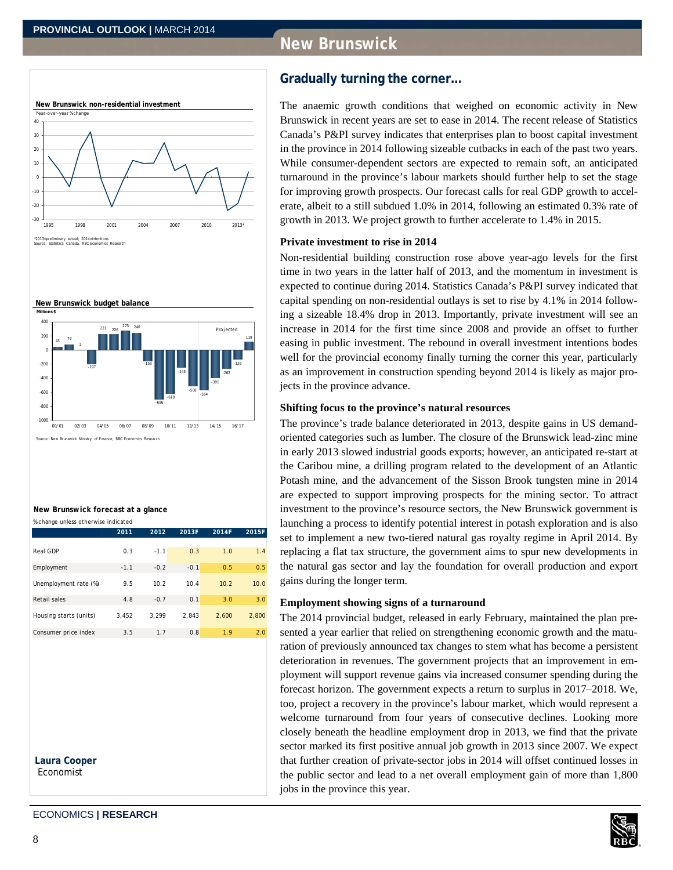# **New Brunswick**





#### **New Brunswick forecast at a glance**

| % change unless otherwise indicated |        |        |        |       |       |
|-------------------------------------|--------|--------|--------|-------|-------|
|                                     | 2011   | 2012   | 2013F  | 2014F | 2015F |
|                                     |        |        |        |       |       |
| Real GDP                            | 0.3    | $-1.1$ | 0.3    | 1.0   | 1.4   |
| Employment                          | $-1.1$ | $-0.2$ | $-0.1$ | 0.5   | 0.5   |
| Unemployment rate (%)               | 9.5    | 10.2   | 10.4   | 10.2  | 10.0  |
| Retail sales                        | 4.8    | $-0.7$ | 0.1    | 3.0   | 3.0   |
| Housing starts (units)              | 3.452  | 3.299  | 2.843  | 2.600 | 2.800 |
| Consumer price index                | 3.5    | 1.7    | 0.8    | 1.9   | 2.0   |

**Laura Cooper**  Economist

# **Gradually turning the corner…**

The anaemic growth conditions that weighed on economic activity in New Brunswick in recent years are set to ease in 2014. The recent release of Statistics Canada's P&PI survey indicates that enterprises plan to boost capital investment in the province in 2014 following sizeable cutbacks in each of the past two years. While consumer-dependent sectors are expected to remain soft, an anticipated turnaround in the province's labour markets should further help to set the stage for improving growth prospects. Our forecast calls for real GDP growth to accelerate, albeit to a still subdued 1.0% in 2014, following an estimated 0.3% rate of growth in 2013. We project growth to further accelerate to 1.4% in 2015.

### **Private investment to rise in 2014**

Non-residential building construction rose above year-ago levels for the first time in two years in the latter half of 2013, and the momentum in investment is expected to continue during 2014. Statistics Canada's P&PI survey indicated that capital spending on non-residential outlays is set to rise by 4.1% in 2014 following a sizeable 18.4% drop in 2013. Importantly, private investment will see an increase in 2014 for the first time since 2008 and provide an offset to further easing in public investment. The rebound in overall investment intentions bodes well for the provincial economy finally turning the corner this year, particularly as an improvement in construction spending beyond 2014 is likely as major projects in the province advance.

### **Shifting focus to the province's natural resources**

The province's trade balance deteriorated in 2013, despite gains in US demandoriented categories such as lumber. The closure of the Brunswick lead-zinc mine in early 2013 slowed industrial goods exports; however, an anticipated re-start at the Caribou mine, a drilling program related to the development of an Atlantic Potash mine, and the advancement of the Sisson Brook tungsten mine in 2014 are expected to support improving prospects for the mining sector. To attract investment to the province's resource sectors, the New Brunswick government is launching a process to identify potential interest in potash exploration and is also set to implement a new two-tiered natural gas royalty regime in April 2014. By replacing a flat tax structure, the government aims to spur new developments in the natural gas sector and lay the foundation for overall production and export gains during the longer term.

### **Employment showing signs of a turnaround**

The 2014 provincial budget, released in early February, maintained the plan presented a year earlier that relied on strengthening economic growth and the maturation of previously announced tax changes to stem what has become a persistent deterioration in revenues. The government projects that an improvement in employment will support revenue gains via increased consumer spending during the forecast horizon. The government expects a return to surplus in 2017–2018. We, too, project a recovery in the province's labour market, which would represent a welcome turnaround from four years of consecutive declines. Looking more closely beneath the headline employment drop in 2013, we find that the private sector marked its first positive annual job growth in 2013 since 2007. We expect that further creation of private-sector jobs in 2014 will offset continued losses in the public sector and lead to a net overall employment gain of more than 1,800 jobs in the province this year.

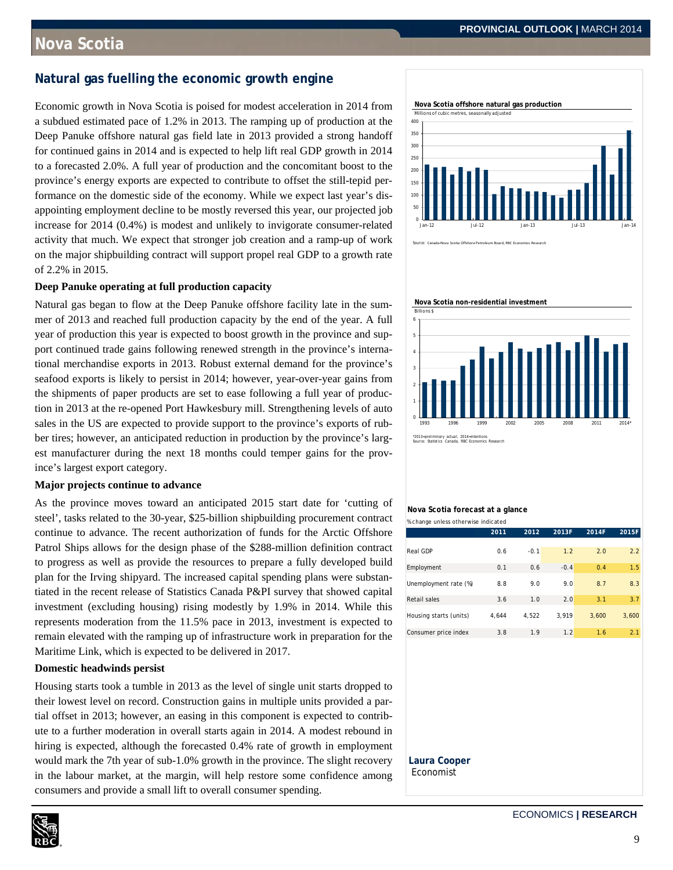# **Nova Scotia**

# **Natural gas fuelling the economic growth engine**

Economic growth in Nova Scotia is poised for modest acceleration in 2014 from a subdued estimated pace of 1.2% in 2013. The ramping up of production at the Deep Panuke offshore natural gas field late in 2013 provided a strong handoff for continued gains in 2014 and is expected to help lift real GDP growth in 2014 to a forecasted 2.0%. A full year of production and the concomitant boost to the province's energy exports are expected to contribute to offset the still-tepid performance on the domestic side of the economy. While we expect last year's disappointing employment decline to be mostly reversed this year, our projected job increase for 2014 (0.4%) is modest and unlikely to invigorate consumer-related activity that much. We expect that stronger job creation and a ramp-up of work on the major shipbuilding contract will support propel real GDP to a growth rate of 2.2% in 2015.

### **Deep Panuke operating at full production capacity**

Natural gas began to flow at the Deep Panuke offshore facility late in the summer of 2013 and reached full production capacity by the end of the year. A full year of production this year is expected to boost growth in the province and support continued trade gains following renewed strength in the province's international merchandise exports in 2013. Robust external demand for the province's seafood exports is likely to persist in 2014; however, year-over-year gains from the shipments of paper products are set to ease following a full year of production in 2013 at the re-opened Port Hawkesbury mill. Strengthening levels of auto sales in the US are expected to provide support to the province's exports of rubber tires; however, an anticipated reduction in production by the province's largest manufacturer during the next 18 months could temper gains for the province's largest export category.

### **Major projects continue to advance**

As the province moves toward an anticipated 2015 start date for 'cutting of steel', tasks related to the 30-year, \$25-billion shipbuilding procurement contract continue to advance. The recent authorization of funds for the Arctic Offshore Patrol Ships allows for the design phase of the \$288-million definition contract to progress as well as provide the resources to prepare a fully developed build plan for the Irving shipyard. The increased capital spending plans were substantiated in the recent release of Statistics Canada P&PI survey that showed capital investment (excluding housing) rising modestly by 1.9% in 2014. While this represents moderation from the 11.5% pace in 2013, investment is expected to remain elevated with the ramping up of infrastructure work in preparation for the Maritime Link, which is expected to be delivered in 2017.

### **Domestic headwinds persist**

Housing starts took a tumble in 2013 as the level of single unit starts dropped to their lowest level on record. Construction gains in multiple units provided a partial offset in 2013; however, an easing in this component is expected to contribute to a further moderation in overall starts again in 2014. A modest rebound in hiring is expected, although the forecasted 0.4% rate of growth in employment would mark the 7th year of sub-1.0% growth in the province. The slight recovery in the labour market, at the margin, will help restore some confidence among consumers and provide a small lift to overall consumer spending.





6 **Nova Scotia non-residential investment** Billions \$



#### **Nova Scotia forecast at a glance** % change unless otherwise indicated

|                        | 2011  | 2012   | 2013F  | 2014F | 2015F |
|------------------------|-------|--------|--------|-------|-------|
|                        |       |        |        |       |       |
| Real GDP               | 0.6   | $-0.1$ | 1.2    | 2.0   | 2.2   |
| Employment             | 0.1   | 0.6    | $-0.4$ | 0.4   | 1.5   |
| Unemployment rate (%)  | 8.8   | 9.0    | 9.0    | 8.7   | 8.3   |
| Retail sales           | 3.6   | 1.0    | 2.0    | 3.1   | 3.7   |
| Housing starts (units) | 4.644 | 4.522  | 3.919  | 3.600 | 3.600 |
| Consumer price index   | 3.8   | 1.9    | 1.2    | 1.6   | 2.1   |
|                        |       |        |        |       |       |

#### **Laura Cooper**  Economist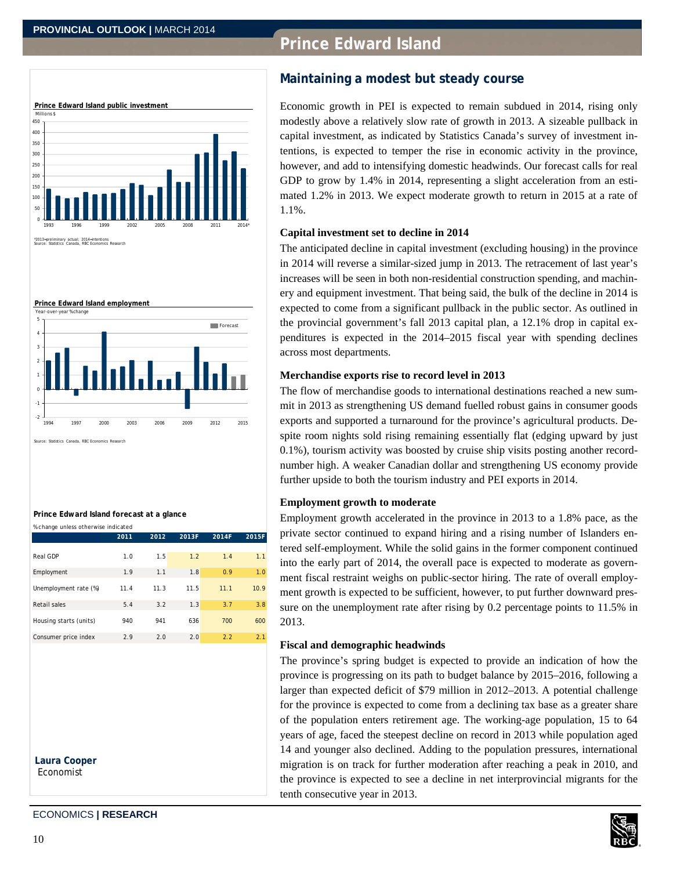# **Prince Edward Island**





### **Prince Edward Island forecast at a glance**

| % change unless otherwise indicated |      |      |       |       |       |
|-------------------------------------|------|------|-------|-------|-------|
|                                     | 2011 | 2012 | 2013F | 2014F | 2015F |
|                                     |      |      |       |       |       |
| Real GDP                            | 1.0  | 1.5  | 1.2   | 1.4   | 1.1   |
| Employment                          | 1.9  | 1.1  | 1.8   | 0.9   | 1.0   |
|                                     |      |      |       |       |       |
| Unemployment rate (%)               | 11.4 | 11.3 | 11.5  | 11.1  | 10.9  |
|                                     |      |      |       |       |       |
| Retail sales                        | 5.4  | 3.2  | 1.3   | 3.7   | 3.8   |
| Housing starts (units)              | 940  | 941  | 636   | 700   | 600   |

Consumer price index 2.9 2.0 2.0 2.2 2.1

**Laura Cooper**  Economist

# **Maintaining a modest but steady course**

Economic growth in PEI is expected to remain subdued in 2014, rising only modestly above a relatively slow rate of growth in 2013. A sizeable pullback in capital investment, as indicated by Statistics Canada's survey of investment intentions, is expected to temper the rise in economic activity in the province, however, and add to intensifying domestic headwinds. Our forecast calls for real GDP to grow by 1.4% in 2014, representing a slight acceleration from an estimated 1.2% in 2013. We expect moderate growth to return in 2015 at a rate of 1.1%.

### **Capital investment set to decline in 2014**

The anticipated decline in capital investment (excluding housing) in the province in 2014 will reverse a similar-sized jump in 2013. The retracement of last year's increases will be seen in both non-residential construction spending, and machinery and equipment investment. That being said, the bulk of the decline in 2014 is expected to come from a significant pullback in the public sector. As outlined in the provincial government's fall 2013 capital plan, a 12.1% drop in capital expenditures is expected in the 2014–2015 fiscal year with spending declines across most departments.

### **Merchandise exports rise to record level in 2013**

The flow of merchandise goods to international destinations reached a new summit in 2013 as strengthening US demand fuelled robust gains in consumer goods exports and supported a turnaround for the province's agricultural products. Despite room nights sold rising remaining essentially flat (edging upward by just 0.1%), tourism activity was boosted by cruise ship visits posting another recordnumber high. A weaker Canadian dollar and strengthening US economy provide further upside to both the tourism industry and PEI exports in 2014.

### **Employment growth to moderate**

Employment growth accelerated in the province in 2013 to a 1.8% pace, as the private sector continued to expand hiring and a rising number of Islanders entered self-employment. While the solid gains in the former component continued into the early part of 2014, the overall pace is expected to moderate as government fiscal restraint weighs on public-sector hiring. The rate of overall employment growth is expected to be sufficient, however, to put further downward pressure on the unemployment rate after rising by 0.2 percentage points to 11.5% in 2013.

### **Fiscal and demographic headwinds**

The province's spring budget is expected to provide an indication of how the province is progressing on its path to budget balance by 2015–2016, following a larger than expected deficit of \$79 million in 2012–2013. A potential challenge for the province is expected to come from a declining tax base as a greater share of the population enters retirement age. The working-age population, 15 to 64 years of age, faced the steepest decline on record in 2013 while population aged 14 and younger also declined. Adding to the population pressures, international migration is on track for further moderation after reaching a peak in 2010, and the province is expected to see a decline in net interprovincial migrants for the tenth consecutive year in 2013.

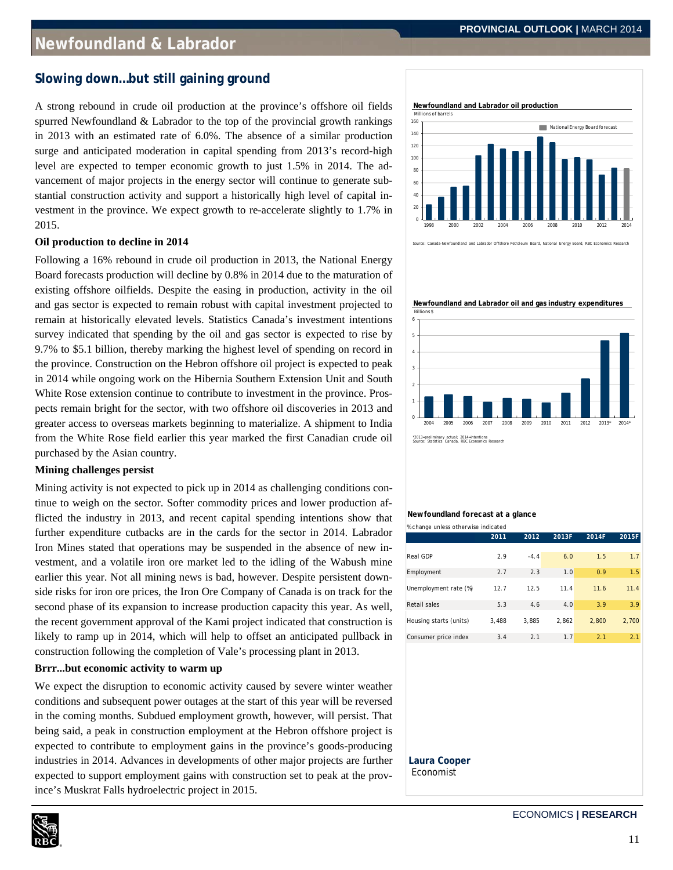### **Slowing down…but still gaining ground**

A strong rebound in crude oil production at the province's offshore oil fields spurred Newfoundland & Labrador to the top of the provincial growth rankings in 2013 with an estimated rate of 6.0%. The absence of a similar production surge and anticipated moderation in capital spending from 2013's record-high level are expected to temper economic growth to just 1.5% in 2014. The advancement of major projects in the energy sector will continue to generate substantial construction activity and support a historically high level of capital investment in the province. We expect growth to re-accelerate slightly to 1.7% in 2015.

### **Oil production to decline in 2014**

Following a 16% rebound in crude oil production in 2013, the National Energy Board forecasts production will decline by 0.8% in 2014 due to the maturation of existing offshore oilfields. Despite the easing in production, activity in the oil and gas sector is expected to remain robust with capital investment projected to remain at historically elevated levels. Statistics Canada's investment intentions survey indicated that spending by the oil and gas sector is expected to rise by 9.7% to \$5.1 billion, thereby marking the highest level of spending on record in the province. Construction on the Hebron offshore oil project is expected to peak in 2014 while ongoing work on the Hibernia Southern Extension Unit and South White Rose extension continue to contribute to investment in the province. Prospects remain bright for the sector, with two offshore oil discoveries in 2013 and greater access to overseas markets beginning to materialize. A shipment to India from the White Rose field earlier this year marked the first Canadian crude oil purchased by the Asian country.

### **Mining challenges persist**

Mining activity is not expected to pick up in 2014 as challenging conditions continue to weigh on the sector. Softer commodity prices and lower production afflicted the industry in 2013, and recent capital spending intentions show that further expenditure cutbacks are in the cards for the sector in 2014. Labrador Iron Mines stated that operations may be suspended in the absence of new investment, and a volatile iron ore market led to the idling of the Wabush mine earlier this year. Not all mining news is bad, however. Despite persistent downside risks for iron ore prices, the Iron Ore Company of Canada is on track for the second phase of its expansion to increase production capacity this year. As well, the recent government approval of the Kami project indicated that construction is likely to ramp up in 2014, which will help to offset an anticipated pullback in construction following the completion of Vale's processing plant in 2013.

### **Brrr...but economic activity to warm up**

We expect the disruption to economic activity caused by severe winter weather conditions and subsequent power outages at the start of this year will be reversed in the coming months. Subdued employment growth, however, will persist. That being said, a peak in construction employment at the Hebron offshore project is expected to contribute to employment gains in the province's goods-producing industries in 2014. Advances in developments of other major projects are further expected to support employment gains with construction set to peak at the province's Muskrat Falls hydroelectric project in 2015.





urce: Canada-Newfoundland and Labrador Offshore Petroleum Board, National Energy Board, RBC Economics Re

**Newfoundland and Labrador oil and gas industry expenditures**



#### **Newfoundland forecast at a glance** % change unless otherwise indicated

|                        | 2011  | 2012   | 2013F | 2014F | 2015F |
|------------------------|-------|--------|-------|-------|-------|
| Real GDP               | 2.9   | $-4.4$ | 6.0   | 1.5   | 1.7   |
| Employment             | 2.7   | 2.3    | 1.0   | 0.9   | 1.5   |
| Unemployment rate (%)  | 12.7  | 12.5   | 11.4  | 11.6  | 11.4  |
| Retail sales           | 5.3   | 4.6    | 4.0   | 3.9   | 3.9   |
| Housing starts (units) | 3.488 | 3.885  | 2.862 | 2.800 | 2.700 |
| Consumer price index   | 3.4   | 2.1    | 1.7   | 2.1   | 2.1   |

#### **Laura Cooper**  Economist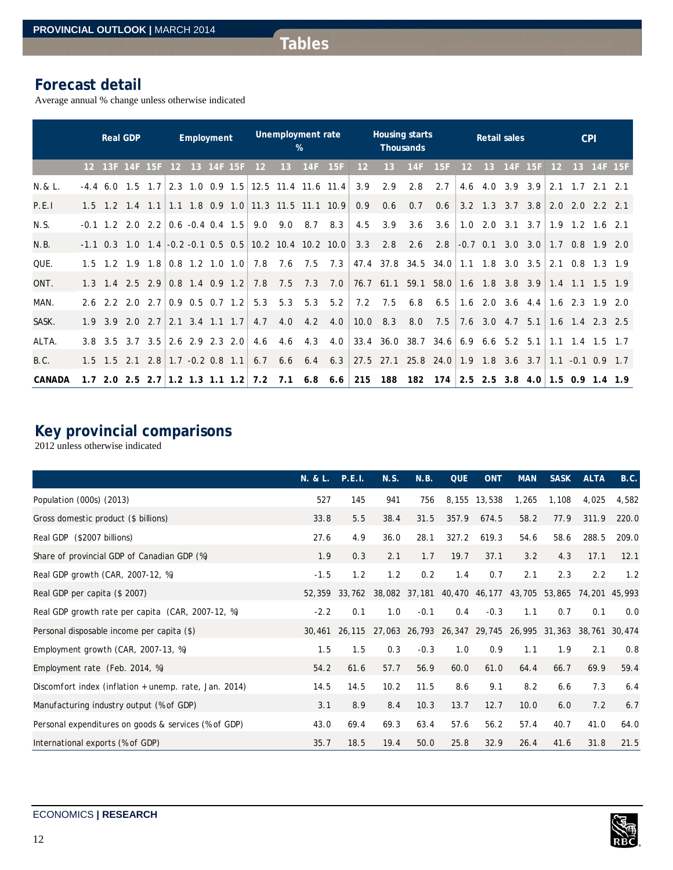# **Forecast detail**

Average annual % change unless otherwise indicated

|               |    | <b>Real GDP</b> |                                            |     |                                                        | Employment |            |     |     | Unemployment rate | %               |                                                     |            | <b>Housing starts</b>               | <b>Thousands</b> |     |     |     | <b>Retail sales</b>               |     |     | <b>CPI</b>              |                   |     |
|---------------|----|-----------------|--------------------------------------------|-----|--------------------------------------------------------|------------|------------|-----|-----|-------------------|-----------------|-----------------------------------------------------|------------|-------------------------------------|------------------|-----|-----|-----|-----------------------------------|-----|-----|-------------------------|-------------------|-----|
|               |    |                 | 12 13F 14F 15F                             |     | 12 <sup>2</sup>                                        |            | 13 14F 15F |     | 12  | 13                | 14F             | 15F                                                 | 12         | 13                                  | 14F              | 15F | 12  | 13  | 14F                               | 15F | 12  | 13 <sup>°</sup>         | 14F 15F           |     |
| $N.8L$ .      |    |                 | $-4.4$ 6.0 1.5                             | 1.7 |                                                        |            |            |     |     |                   |                 | $2.3$ 1.0 0.9 1.5 12.5 11.4 11.6 11.4               | 3.9        | 2.9                                 | 2.8              | 2.7 | 4.6 | 4.0 | 3.9 3.9                           |     | 2.1 | $1.7$ $2.1$ $2.1$       |                   |     |
| P.E.I         |    |                 |                                            |     |                                                        |            |            |     |     |                   |                 | 1.5 1.2 1.4 1.1 1.1 1.8 0.9 1.0 11.3 11.5 11.1 10.9 | 0.9        | 0.6                                 | 0.7              | 0.6 |     |     | $3.2$ 1.3 3.7 3.8                 |     |     | $2.0$ $2.0$ $2.2$ $2.1$ |                   |     |
| N.S.          |    |                 | $-0.1$ 1.2 2.0 2.2                         |     | $\begin{bmatrix} 0.6 & -0.4 & 0.4 & 1.5 \end{bmatrix}$ |            |            |     | 9.0 | 9.0               | 8.7             | 8.3                                                 | 4.5        | 3.9                                 | 3.6              | 3.6 | 1.0 |     | $2.0 \quad 3.1$                   | 3.7 | 1.9 |                         | $1.2$ $1.6$ $2.1$ |     |
| N.B.          |    |                 | $-1.1$ 0.3 1.0 1.4 $-0.2$ $-0.1$ 0.5 0.5   |     |                                                        |            |            |     |     |                   |                 | 10.2 10.4 10.2 10.0                                 | 3.3        | 2.8                                 | 2.6              | 2.8 |     |     | $-0.7$ 0.1 3.0 3.0                |     |     | $1.7$ 0.8 1.9 2.0       |                   |     |
| QUE.          |    |                 | $1.5$ 1.2 1.9 1.8 0.8 1.2 1.0 1.0          |     |                                                        |            |            |     | 7.8 |                   |                 | $7.6$ $7.5$ $7.3$                                   |            | 47.4 37.8 34.5 34.0                 |                  |     |     |     | $1.1$ $1.8$ $3.0$ $3.5$           |     | 2.1 |                         | $0.8$ 1.3 1.9     |     |
| ONT.          |    |                 | $1.3$ 1.4 2.5 2.9                          |     | $0.8$ 1.4 0.9 1.2                                      |            |            |     | 7.8 | 7.5               | 7.3             | 7.0                                                 |            | 76.7 61.1 59.1 58.0                 |                  |     |     |     | $1.6$ 1.8 3.8 3.9                 |     |     | $1.4$ 1.1 1.5 1.9       |                   |     |
| MAN.          |    |                 | $2.6$ 2.2 2.0 2.7 0.9 0.5 0.7 1.2          |     |                                                        |            |            |     | 5.3 | 5.3               | 5.3             | 5.2                                                 | 7.2        | 7.5                                 | 6.8              | 6.5 |     |     | $1.6$ 2.0 3.6 4.4 1.6 2.3 1.9     |     |     |                         |                   | 2.0 |
| SASK.         |    |                 | $1.9$ $3.9$ $2.0$ $2.7$                    |     | $ 2.1 \t3.4 \t1.1 \t1.7 $                              |            |            |     | 4.7 | 4.0               | $4.2 \quad 4.0$ |                                                     | $10.0$ 8.3 |                                     | 8.0              | 7.5 |     |     | 7.6 3.0 4.7 5.1 1.6 1.4 2.3 2.5   |     |     |                         |                   |     |
| ALTA.         |    |                 | 3.8 3.5 3.7 3.5 2.6 2.9 2.3 2.0            |     |                                                        |            |            |     | 4.6 | 4.6               | 4.3             | 4.0                                                 |            | 33.4 36.0 38.7 34.6                 |                  |     | 6.9 |     | $6.6$ 5.2 5.1                     |     |     | $1.1$ $1.4$ $1.5$ $1.7$ |                   |     |
| B.C.          |    |                 | $1.5$ $1.5$ $2.1$ $2.8$ $1.7$ $-0.2$ $0.8$ |     |                                                        |            |            | 1.1 | 6.7 | 6.6               | $6.4$ $6.3$     |                                                     |            | 27.5 27.1 25.8 24.0 1.9 1.8 3.6 3.7 |                  |     |     |     |                                   |     |     | $1.1 - 0.1$ 0.9 1.7     |                   |     |
| <b>CANADA</b> | 17 |                 | $2.0$ $2.5$ $2.7$ 1.2 1.3 1.1 1.2          |     |                                                        |            |            |     | 7.2 | 7.1               |                 | $6.8$ 6.6                                           | 215        | 188                                 | 182              | 174 |     |     | $2.5$ 2.5 3.8 4.0 1.5 0.9 1.4 1.9 |     |     |                         |                   |     |

# **Key provincial comparisons**

2012 unless otherwise indicated

|                                                       | N. & L. P.E.I. |        | N.S.                                                           | N.B.   | <b>QUE</b> | <b>ONT</b> | <b>MAN</b> | <b>SASK</b> | <b>ALTA</b> | B.C.  |
|-------------------------------------------------------|----------------|--------|----------------------------------------------------------------|--------|------------|------------|------------|-------------|-------------|-------|
| Population (000s) (2013)                              | 527            | 145    | 941                                                            | 756    | 8,155      | 13,538     | 1,265      | 1,108       | 4,025       | 4,582 |
| Gross domestic product (\$ billions)                  | 33.8           | 5.5    | 38.4                                                           | 31.5   | 357.9      | 674.5      | 58.2       | 77.9        | 311.9       | 220.0 |
| Real GDP (\$2007 billions)                            | 27.6           | 4.9    | 36.0                                                           | 28.1   | 327.2      | 619.3      | 54.6       | 58.6        | 288.5       | 209.0 |
| Share of provincial GDP of Canadian GDP (%)           | 1.9            | 0.3    | 2.1                                                            | 1.7    | 19.7       | 37.1       | 3.2        | 4.3         | 17.1        | 12.1  |
| Real GDP growth (CAR, 2007-12, %)                     | $-1.5$         | 1.2    | 1.2                                                            | 0.2    | 1.4        | 0.7        | 2.1        | 2.3         | 2.2         | 1.2   |
| Real GDP per capita (\$ 2007)                         | 52,359         |        | 33,762 38,082 37,181 40,470 46,177 43,705 53,865 74,201 45,993 |        |            |            |            |             |             |       |
| Real GDP growth rate per capita (CAR, 2007-12, %)     | $-2.2$         | 0.1    | 1.0                                                            | $-0.1$ | 0.4        | $-0.3$     | 1.1        | 0.7         | 0.1         | 0.0   |
| Personal disposable income per capita (\$)            | 30,461         | 26,115 | 27,063 26,793 26,347 29,745 26,995 31,363 38,761 30,474        |        |            |            |            |             |             |       |
| Employment growth (CAR, 2007-13, %)                   | 1.5            | 1.5    | 0.3                                                            | $-0.3$ | 1.0        | 0.9        | 1.1        | 1.9         | 2.1         | 0.8   |
| Employment rate (Feb. 2014, %)                        | 54.2           | 61.6   | 57.7                                                           | 56.9   | 60.0       | 61.0       | 64.4       | 66.7        | 69.9        | 59.4  |
| Discomfort index (inflation + unemp. rate, Jan. 2014) | 14.5           | 14.5   | 10.2                                                           | 11.5   | 8.6        | 9.1        | 8.2        | 6.6         | 7.3         | 6.4   |
| Manufacturing industry output (% of GDP)              | 3.1            | 8.9    | 8.4                                                            | 10.3   | 13.7       | 12.7       | 10.0       | 6.0         | 7.2         | 6.7   |
| Personal expenditures on goods & services (% of GDP)  | 43.0           | 69.4   | 69.3                                                           | 63.4   | 57.6       | 56.2       | 57.4       | 40.7        | 41.0        | 64.0  |
| International exports (% of GDP)                      | 35.7           | 18.5   | 19.4                                                           | 50.0   | 25.8       | 32.9       | 26.4       | 41.6        | 31.8        | 21.5  |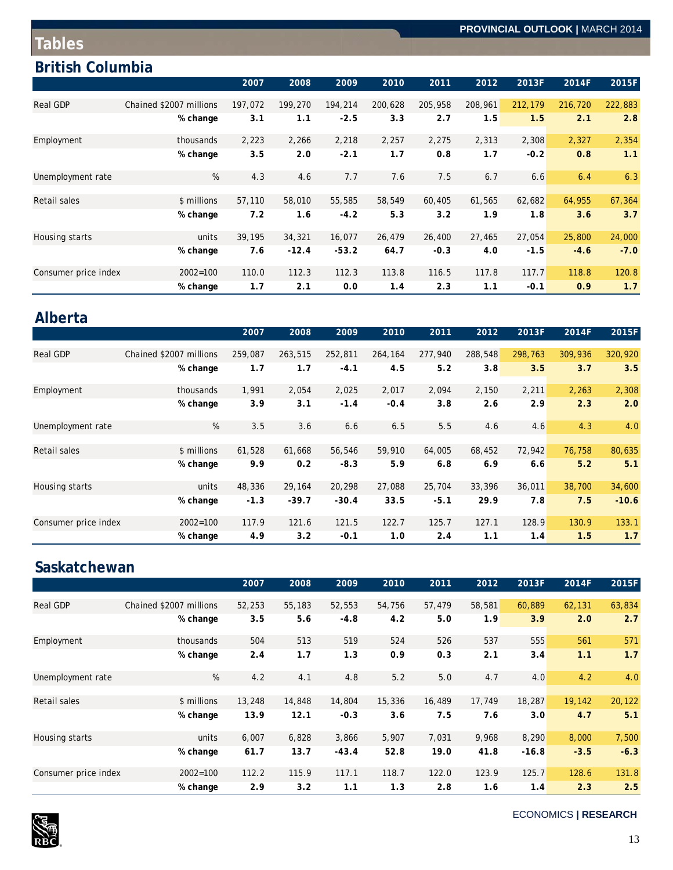# **Tables**

# **British Columbia**

|                      |                         | 2007    | 2008    | 2009    | 2010    | 2011    | 2012    | 2013F   | 2014F   | 2015F   |
|----------------------|-------------------------|---------|---------|---------|---------|---------|---------|---------|---------|---------|
| <b>Real GDP</b>      | Chained \$2007 millions | 197,072 | 199,270 | 194,214 | 200,628 | 205,958 | 208,961 | 212,179 | 216,720 | 222,883 |
|                      | % change                | 3.1     | 1.1     | $-2.5$  | 3.3     | 2.7     | 1.5     | 1.5     | 2.1     | 2.8     |
| Employment           | thousands               | 2,223   | 2,266   | 2,218   | 2,257   | 2,275   | 2,313   | 2,308   | 2,327   | 2,354   |
|                      | % change                | 3.5     | 2.0     | $-2.1$  | 1.7     | 0.8     | 1.7     | $-0.2$  | 0.8     | 1.1     |
| Unemployment rate    | %                       | 4.3     | 4.6     | 7.7     | 7.6     | 7.5     | 6.7     | 6.6     | 6.4     | 6.3     |
|                      |                         |         |         |         |         |         |         |         |         |         |
| Retail sales         | \$ millions             | 57,110  | 58,010  | 55,585  | 58,549  | 60,405  | 61,565  | 62,682  | 64,955  | 67,364  |
|                      | % change                | 7.2     | 1.6     | $-4.2$  | 5.3     | 3.2     | 1.9     | 1.8     | 3.6     | 3.7     |
| Housing starts       | units                   | 39,195  | 34,321  | 16,077  | 26,479  | 26,400  | 27,465  | 27,054  | 25,800  | 24,000  |
|                      | % change                | 7.6     | $-12.4$ | $-53.2$ | 64.7    | $-0.3$  | 4.0     | $-1.5$  | $-4.6$  | $-7.0$  |
| Consumer price index | $2002 = 100$            | 110.0   | 112.3   | 112.3   | 113.8   | 116.5   | 117.8   | 117.7   | 118.8   | 120.8   |
|                      | % change                | 1.7     | 2.1     | 0.0     | 1.4     | 2.3     | 1.1     | $-0.1$  | 0.9     | 1.7     |

# **Alberta**

|                      |                         | 2007    | 2008    | 2009    | 2010    | 2011    | 2012    | 2013F   | 2014F   | 2015F   |
|----------------------|-------------------------|---------|---------|---------|---------|---------|---------|---------|---------|---------|
| <b>Real GDP</b>      | Chained \$2007 millions | 259,087 | 263,515 | 252,811 | 264,164 | 277,940 | 288,548 | 298,763 | 309,936 | 320,920 |
|                      | % change                | 1.7     | 1.7     | $-4.1$  | 4.5     | 5.2     | 3.8     | 3.5     | 3.7     | 3.5     |
| Employment           | thousands               | 1,991   | 2,054   | 2,025   | 2,017   | 2,094   | 2,150   | 2,211   | 2,263   | 2,308   |
|                      | % change                | 3.9     | 3.1     | $-1.4$  | $-0.4$  | 3.8     | 2.6     | 2.9     | 2.3     | 2.0     |
| Unemployment rate    | %                       | 3.5     | 3.6     | 6.6     | 6.5     | 5.5     | 4.6     | 4.6     | 4.3     | 4.0     |
| Retail sales         | \$ millions             | 61,528  | 61,668  | 56,546  | 59,910  | 64,005  | 68,452  | 72,942  | 76,758  | 80,635  |
|                      | % change                | 9.9     | 0.2     | $-8.3$  | 5.9     | 6.8     | 6.9     | 6.6     | 5.2     | 5.1     |
| Housing starts       | units                   | 48,336  | 29,164  | 20,298  | 27,088  | 25,704  | 33,396  | 36,011  | 38,700  | 34,600  |
|                      | % change                | $-1.3$  | $-39.7$ | $-30.4$ | 33.5    | $-5.1$  | 29.9    | 7.8     | 7.5     | $-10.6$ |
| Consumer price index | $2002 = 100$            | 117.9   | 121.6   | 121.5   | 122.7   | 125.7   | 127.1   | 128.9   | 130.9   | 133.1   |
|                      | % change                | 4.9     | 3.2     | $-0.1$  | 1.0     | 2.4     | 1.1     | 1.4     | 1.5     | 1.7     |

# **Saskatchewan**

|                      |                         | 2007   | 2008   | 2009    | 2010   | 2011   | 2012   | 2013F   | 2014F  | 2015F  |
|----------------------|-------------------------|--------|--------|---------|--------|--------|--------|---------|--------|--------|
| <b>Real GDP</b>      | Chained \$2007 millions | 52,253 | 55,183 | 52,553  | 54,756 | 57,479 | 58,581 | 60,889  | 62,131 | 63,834 |
|                      | % change                | 3.5    | 5.6    | $-4.8$  | 4.2    | 5.0    | 1.9    | 3.9     | 2.0    | 2.7    |
| Employment           | thousands               | 504    | 513    | 519     | 524    | 526    | 537    | 555     | 561    | 571    |
|                      | % change                | 2.4    | 1.7    | 1.3     | 0.9    | 0.3    | 2.1    | 3.4     | 1.1    | 1.7    |
| Unemployment rate    | %                       | 4.2    | 4.1    | 4.8     | 5.2    | 5.0    | 4.7    | 4.0     | 4.2    | 4.0    |
|                      |                         |        |        |         |        |        |        |         |        |        |
| <b>Retail sales</b>  | \$ millions             | 13,248 | 14,848 | 14,804  | 15,336 | 16,489 | 17,749 | 18,287  | 19,142 | 20,122 |
|                      | % change                | 13.9   | 12.1   | $-0.3$  | 3.6    | 7.5    | 7.6    | 3.0     | 4.7    | 5.1    |
| Housing starts       | units                   | 6,007  | 6,828  | 3,866   | 5,907  | 7,031  | 9,968  | 8,290   | 8,000  | 7,500  |
|                      | % change                | 61.7   | 13.7   | $-43.4$ | 52.8   | 19.0   | 41.8   | $-16.8$ | $-3.5$ | $-6.3$ |
| Consumer price index | $2002 = 100$            | 112.2  | 115.9  | 117.1   | 118.7  | 122.0  | 123.9  | 125.7   | 128.6  | 131.8  |
|                      | % change                | 2.9    | 3.2    | 1.1     | 1.3    | 2.8    | 1.6    | 1.4     | 2.3    | 2.5    |



ECONOMICS **| RESEARCH**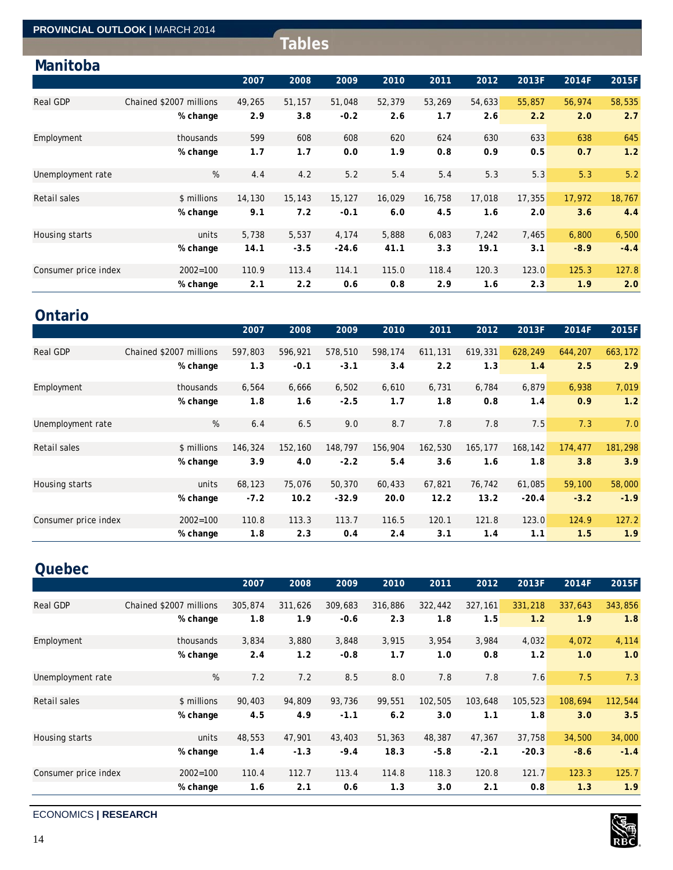|                      | <b>PROVINCIAL OUTLOOK   MARCH 2014</b> |        |               |         |        |        |        |        |        |        |
|----------------------|----------------------------------------|--------|---------------|---------|--------|--------|--------|--------|--------|--------|
|                      |                                        |        | <b>Tables</b> |         |        |        |        |        |        |        |
| Manitoba             |                                        |        |               |         |        |        |        |        |        |        |
|                      |                                        | 2007   | 2008          | 2009    | 2010   | 2011   | 2012   | 2013F  | 2014F  | 2015F  |
| <b>Real GDP</b>      | Chained \$2007 millions                | 49,265 | 51,157        | 51,048  | 52,379 | 53,269 | 54,633 | 55,857 | 56,974 | 58,535 |
|                      | % change                               | 2.9    | 3.8           | $-0.2$  | 2.6    | 1.7    | 2.6    | 2.2    | 2.0    | 2.7    |
| Employment           | thousands                              | 599    | 608           | 608     | 620    | 624    | 630    | 633    | 638    | 645    |
|                      | % change                               | 1.7    | 1.7           | 0.0     | 1.9    | 0.8    | 0.9    | 0.5    | 0.7    | 1.2    |
| Unemployment rate    | %                                      | 4.4    | 4.2           | 5.2     | 5.4    | 5.4    | 5.3    | 5.3    | 5.3    | 5.2    |
| Retail sales         | \$ millions                            | 14,130 | 15,143        | 15,127  | 16,029 | 16,758 | 17,018 | 17,355 | 17,972 | 18,767 |
|                      | % change                               | 9.1    | 7.2           | $-0.1$  | 6.0    | 4.5    | 1.6    | 2.0    | 3.6    | 4.4    |
| Housing starts       | units                                  | 5,738  | 5,537         | 4,174   | 5,888  | 6,083  | 7,242  | 7,465  | 6,800  | 6,500  |
|                      | % change                               | 14.1   | $-3.5$        | $-24.6$ | 41.1   | 3.3    | 19.1   | 3.1    | $-8.9$ | $-4.4$ |
| Consumer price index | $2002 = 100$                           | 110.9  | 113.4         | 114.1   | 115.0  | 118.4  | 120.3  | 123.0  | 125.3  | 127.8  |
|                      | % change                               | 2.1    | 2.2           | 0.6     | 0.8    | 2.9    | 1.6    | 2.3    | 1.9    | 2.0    |

# **Ontario**

|                      |                         | 2007    | 2008    | 2009    | 2010    | 2011    | 2012    | 2013F   | 2014F   | 2015F   |
|----------------------|-------------------------|---------|---------|---------|---------|---------|---------|---------|---------|---------|
| Real GDP             | Chained \$2007 millions | 597,803 | 596,921 | 578,510 | 598,174 | 611,131 | 619,331 | 628,249 | 644,207 | 663,172 |
|                      | % change                | 1.3     | $-0.1$  | $-3.1$  | 3.4     | 2.2     | 1.3     | 1.4     | 2.5     | 2.9     |
| Employment           | thousands               | 6,564   | 6,666   | 6,502   | 6,610   | 6,731   | 6,784   | 6,879   | 6,938   | 7,019   |
|                      | % change                | 1.8     | 1.6     | $-2.5$  | 1.7     | 1.8     | 0.8     | 1.4     | 0.9     | 1.2     |
| Unemployment rate    | %                       | 6.4     | 6.5     | 9.0     | 8.7     | 7.8     | 7.8     | 7.5     | 7.3     | 7.0     |
| <b>Retail sales</b>  | \$ millions             | 146,324 | 152,160 | 148,797 | 156,904 | 162,530 | 165,177 | 168,142 | 174,477 | 181,298 |
|                      | % change                | 3.9     | 4.0     | $-2.2$  | 5.4     | 3.6     | 1.6     | 1.8     | 3.8     | 3.9     |
| Housing starts       | units                   | 68,123  | 75,076  | 50,370  | 60,433  | 67,821  | 76,742  | 61,085  | 59,100  | 58,000  |
|                      | % change                | $-7.2$  | 10.2    | $-32.9$ | 20.0    | 12.2    | 13.2    | $-20.4$ | $-3.2$  | $-1.9$  |
| Consumer price index | $2002 = 100$            | 110.8   | 113.3   | 113.7   | 116.5   | 120.1   | 121.8   | 123.0   | 124.9   | 127.2   |
|                      | % change                | 1.8     | 2.3     | 0.4     | 2.4     | 3.1     | 1.4     | 1.1     | 1.5     | 1.9     |

# **Quebec**

|                      |                         | 2007    | 2008    | 2009    | 2010    | 2011    | 2012    | 2013F   | 2014F   | 2015F   |
|----------------------|-------------------------|---------|---------|---------|---------|---------|---------|---------|---------|---------|
| <b>Real GDP</b>      | Chained \$2007 millions | 305,874 | 311,626 | 309,683 | 316,886 | 322,442 | 327,161 | 331,218 | 337,643 | 343,856 |
|                      | % change                | 1.8     | 1.9     | $-0.6$  | 2.3     | 1.8     | 1.5     | 1.2     | 1.9     | 1.8     |
| Employment           | thousands               | 3,834   | 3,880   | 3,848   | 3,915   | 3,954   | 3,984   | 4,032   | 4,072   | 4,114   |
|                      | % change                | 2.4     | 1.2     | $-0.8$  | 1.7     | 1.0     | 0.8     | 1.2     | 1.0     | 1.0     |
| Unemployment rate    | %                       | 7.2     | 7.2     | 8.5     | 8.0     | 7.8     | 7.8     | 7.6     | 7.5     | 7.3     |
|                      |                         |         |         |         |         |         |         |         |         |         |
| Retail sales         | \$ millions             | 90,403  | 94,809  | 93,736  | 99,551  | 102,505 | 103,648 | 105,523 | 108,694 | 112,544 |
|                      | % change                | 4.5     | 4.9     | $-1.1$  | 6.2     | 3.0     | 1.1     | 1.8     | 3.0     | 3.5     |
| Housing starts       | units                   | 48,553  | 47,901  | 43,403  | 51,363  | 48,387  | 47,367  | 37,758  | 34,500  | 34,000  |
|                      | % change                | 1.4     | $-1.3$  | $-9.4$  | 18.3    | $-5.8$  | $-2.1$  | $-20.3$ | $-8.6$  | $-1.4$  |
| Consumer price index | $2002 = 100$            | 110.4   | 112.7   | 113.4   | 114.8   | 118.3   | 120.8   | 121.7   | 123.3   | 125.7   |
|                      | % change                | 1.6     | 2.1     | 0.6     | 1.3     | 3.0     | 2.1     | 0.8     | 1.3     | 1.9     |

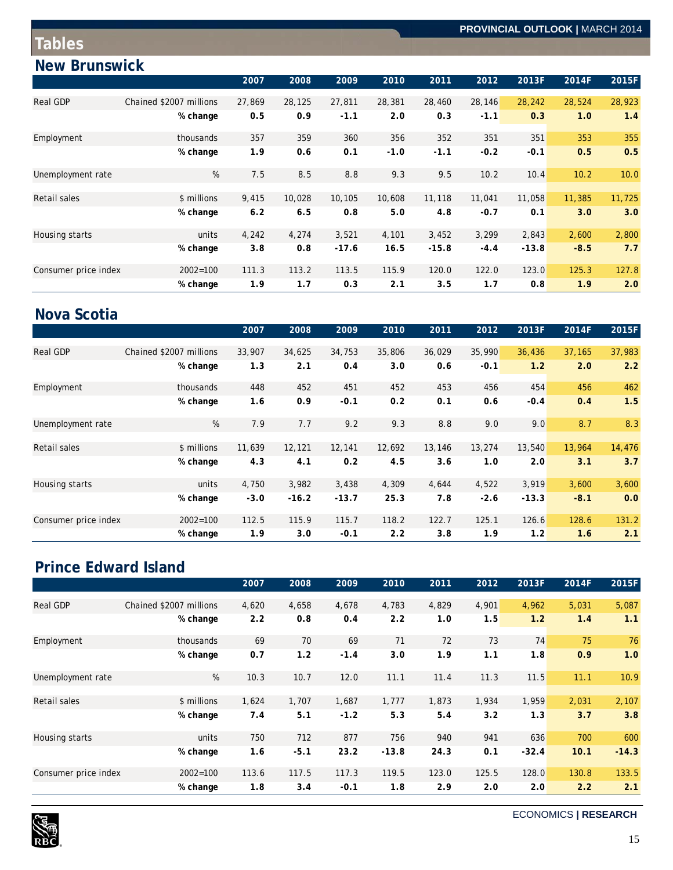# **New Brunswick**

|                      |                         | 2007   | 2008   | 2009    | 2010   | 2011    | 2012   | 2013F   | 2014F  | 2015F  |
|----------------------|-------------------------|--------|--------|---------|--------|---------|--------|---------|--------|--------|
| <b>Real GDP</b>      | Chained \$2007 millions | 27,869 | 28,125 | 27,811  | 28,381 | 28,460  | 28,146 | 28,242  | 28,524 | 28,923 |
|                      | % change                | 0.5    | 0.9    | $-1.1$  | 2.0    | 0.3     | $-1.1$ | 0.3     | 1.0    | 1.4    |
| Employment           | thousands               | 357    | 359    | 360     | 356    | 352     | 351    | 351     | 353    | 355    |
|                      | % change                | 1.9    | 0.6    | 0.1     | $-1.0$ | $-1.1$  | $-0.2$ | $-0.1$  | 0.5    | 0.5    |
| Unemployment rate    | %                       | 7.5    | 8.5    | 8.8     | 9.3    | 9.5     | 10.2   | 10.4    | 10.2   | 10.0   |
|                      |                         |        |        |         |        |         |        |         |        |        |
| Retail sales         | \$ millions             | 9,415  | 10,028 | 10,105  | 10,608 | 11,118  | 11,041 | 11,058  | 11,385 | 11,725 |
|                      | % change                | 6.2    | 6.5    | 0.8     | 5.0    | 4.8     | $-0.7$ | 0.1     | 3.0    | 3.0    |
| Housing starts       | units                   | 4,242  | 4,274  | 3,521   | 4,101  | 3,452   | 3,299  | 2,843   | 2,600  | 2,800  |
|                      | % change                | 3.8    | 0.8    | $-17.6$ | 16.5   | $-15.8$ | $-4.4$ | $-13.8$ | $-8.5$ | 7.7    |
| Consumer price index | $2002 = 100$            | 111.3  | 113.2  | 113.5   | 115.9  | 120.0   | 122.0  | 123.0   | 125.3  | 127.8  |
|                      | % change                | 1.9    | 1.7    | 0.3     | 2.1    | 3.5     | 1.7    | 0.8     | 1.9    | 2.0    |

# **Nova Scotia**

|                      |                         | 2007   | 2008    | 2009    | 2010   | 2011   | 2012   | 2013F   | 2014F  | 2015F  |
|----------------------|-------------------------|--------|---------|---------|--------|--------|--------|---------|--------|--------|
| <b>Real GDP</b>      | Chained \$2007 millions | 33,907 | 34,625  | 34,753  | 35,806 | 36,029 | 35,990 | 36,436  | 37,165 | 37,983 |
|                      | % change                | 1.3    | 2.1     | 0.4     | 3.0    | 0.6    | $-0.1$ | 1.2     | 2.0    | 2.2    |
| Employment           | thousands               | 448    | 452     | 451     | 452    | 453    | 456    | 454     | 456    | 462    |
|                      | % change                | 1.6    | 0.9     | $-0.1$  | 0.2    | 0.1    | 0.6    | $-0.4$  | 0.4    | 1.5    |
| Unemployment rate    | %                       | 7.9    | 7.7     | 9.2     | 9.3    | 8.8    | 9.0    | 9.0     | 8.7    | 8.3    |
| Retail sales         | \$ millions             | 11,639 | 12,121  | 12,141  | 12,692 | 13,146 | 13,274 | 13,540  | 13,964 | 14,476 |
|                      | % change                | 4.3    | 4.1     | 0.2     | 4.5    | 3.6    | 1.0    | 2.0     | 3.1    | 3.7    |
| Housing starts       | units                   | 4,750  | 3,982   | 3,438   | 4,309  | 4,644  | 4,522  | 3,919   | 3,600  | 3,600  |
|                      | % change                | $-3.0$ | $-16.2$ | $-13.7$ | 25.3   | 7.8    | $-2.6$ | $-13.3$ | $-8.1$ | 0.0    |
| Consumer price index | $2002 = 100$            | 112.5  | 115.9   | 115.7   | 118.2  | 122.7  | 125.1  | 126.6   | 128.6  | 131.2  |
|                      | % change                | 1.9    | 3.0     | $-0.1$  | 2.2    | 3.8    | 1.9    | 1.2     | 1.6    | 2.1    |

# **Prince Edward Island**

|                      |                         | 2007  | 2008   | 2009   | 2010    | 2011  | 2012  | 2013F   | 2014F | 2015F   |
|----------------------|-------------------------|-------|--------|--------|---------|-------|-------|---------|-------|---------|
| <b>Real GDP</b>      | Chained \$2007 millions | 4,620 | 4,658  | 4,678  | 4,783   | 4,829 | 4,901 | 4,962   | 5,031 | 5,087   |
|                      | % change                | 2.2   | 0.8    | 0.4    | 2.2     | 1.0   | 1.5   | 1.2     | 1.4   | 1.1     |
| Employment           | thousands               | 69    | 70     | 69     | 71      | 72    | 73    | 74      | 75    | 76      |
|                      | % change                | 0.7   | 1.2    | $-1.4$ | 3.0     | 1.9   | 1.1   | 1.8     | 0.9   | 1.0     |
| Unemployment rate    | %                       | 10.3  | 10.7   | 12.0   | 11.1    | 11.4  | 11.3  | 11.5    | 11.1  | 10.9    |
| Retail sales         | \$ millions             | 1,624 | 1,707  | 1,687  | 1,777   | 1,873 | 1,934 | 1,959   | 2,031 | 2,107   |
|                      | % change                | 7.4   | 5.1    | $-1.2$ | 5.3     | 5.4   | 3.2   | 1.3     | 3.7   | 3.8     |
| Housing starts       | units                   | 750   | 712    | 877    | 756     | 940   | 941   | 636     | 700   | 600     |
|                      | % change                | 1.6   | $-5.1$ | 23.2   | $-13.8$ | 24.3  | 0.1   | $-32.4$ | 10.1  | $-14.3$ |
| Consumer price index | $2002 = 100$            | 113.6 | 117.5  | 117.3  | 119.5   | 123.0 | 125.5 | 128.0   | 130.8 | 133.5   |
|                      | % change                | 1.8   | 3.4    | $-0.1$ | 1.8     | 2.9   | 2.0   | 2.0     | 2.2   | 2.1     |



ECONOMICS **| RESEARCH**